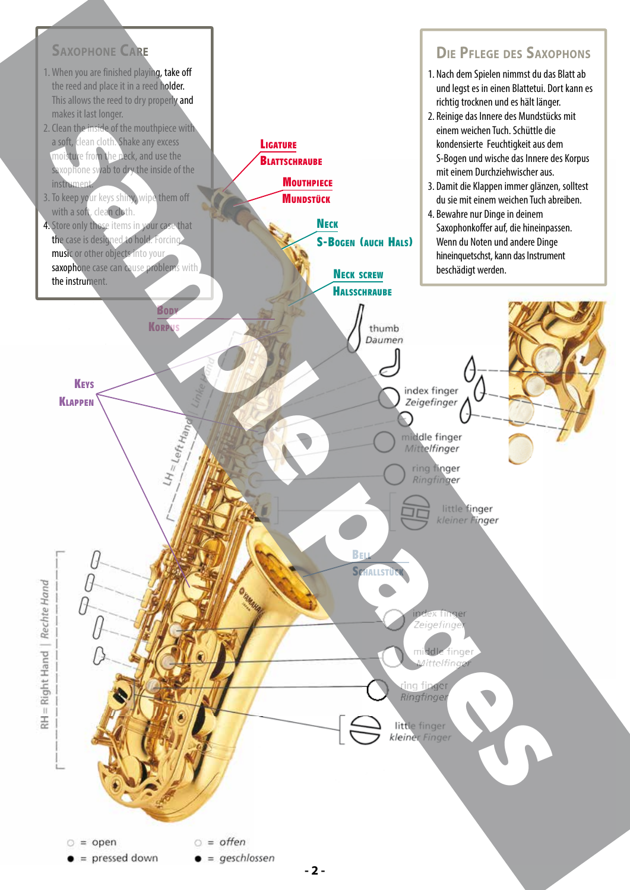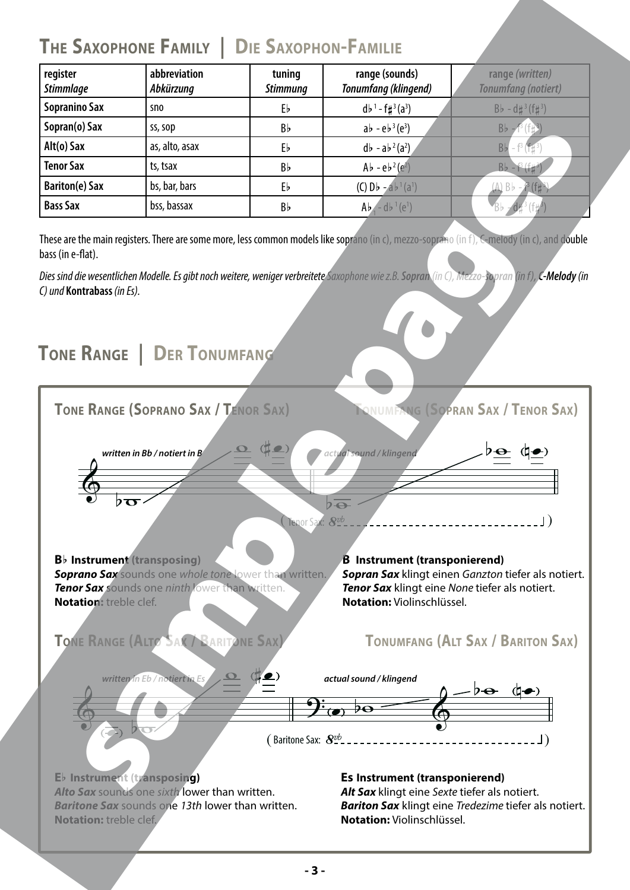## **THE SAXOPHONE FAMILY | DIE SAXOPHON-FAMILIE**

| register<br><b>Stimmlage</b> | abbreviation<br>Abkürzung | tuning<br><b>Stimmung</b> | range (sounds)<br><b>Tonumfang (klingend)</b> | range (written)<br><b>Tonumfang (notiert)</b> |  |
|------------------------------|---------------------------|---------------------------|-----------------------------------------------|-----------------------------------------------|--|
| <b>Sopranino Sax</b>         | sno                       | Eb                        | $d b^1 - f \sharp^3(a^3)$                     | $Bb - d\sharp^{3}(f\sharp^{3})$               |  |
| Sopran(o) Sax                | ss, sop                   | Bb                        | $ab - eb^3(e^3)$                              | $Bb - f^{3}(f_{1})^{3}$                       |  |
| Alt(o) Sax                   | as, alto, asax            | Eb                        | $d\bar{b} - a\bar{b}^2(a^2)$                  | $Bb - f^{3}(f)$                               |  |
| <b>Tenor Sax</b>             | ts, tsax                  | Bb                        | $Ab - eb^2(e^2)$                              | $Bb - f^{(1)}(1)$                             |  |
| <b>Bariton(e) Sax</b>        | bs, bar, bars             | Eb                        | (C) $Db - a b^1 (a^1)$                        | $(A)$ Bb $ ^{3}$ (f#                          |  |
| <b>Bass Sax</b>              | bss, bassax               | Bb                        | $Ab - db^{-1}(e^1)$                           |                                               |  |

These are the main registers. There are some more, less common models like soprano (in c), mezzo-soprano (in f), C-melody (in c), and double bass (in e-flat).

*Dies sind die wesentlichen Modelle. Es gibt noch weitere, weniger verbreitete Saxophone wie z.B. Sopran (in C), Mezzo-sopran (in f), C-Melody (in C) und* **Kontrabass** *(in Es).*

## **TONE RANGE | DER TONUMFANG**

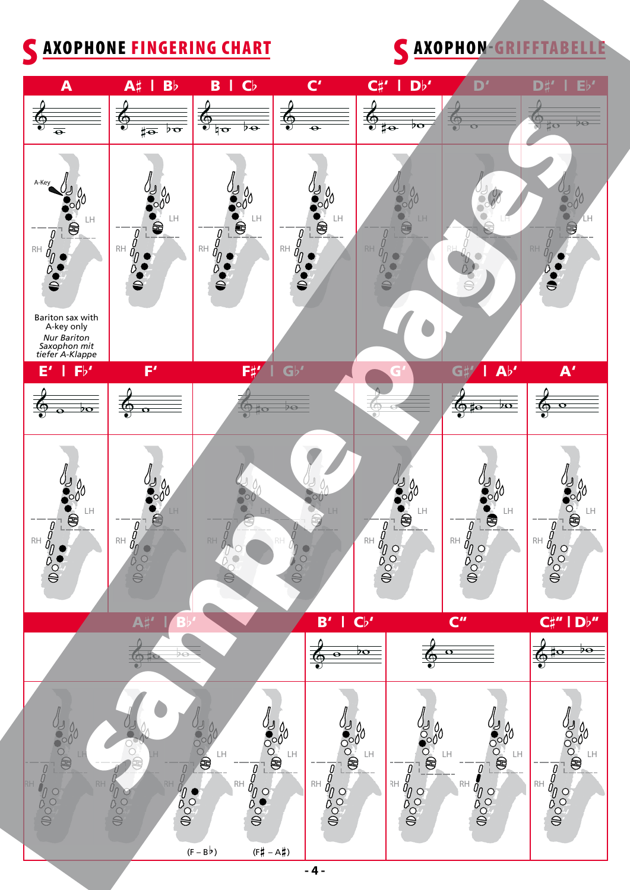## C AXOPHONE FINGERING CHART CAXOPHON-GRIFFTABELLE



**- 4 -**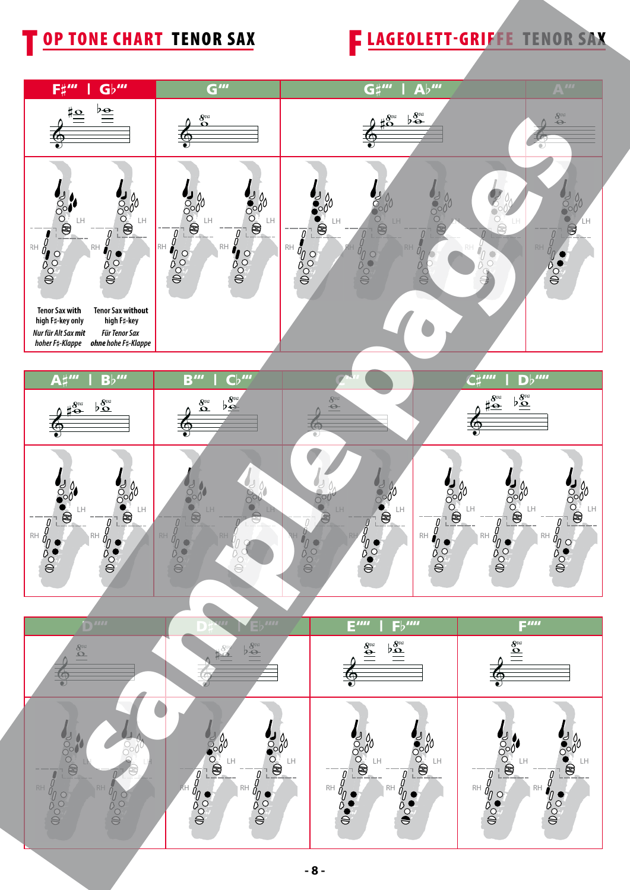## OP TONE CHART TENOR SAX FLAGEOLETT-GRIFFE TENOR SAX





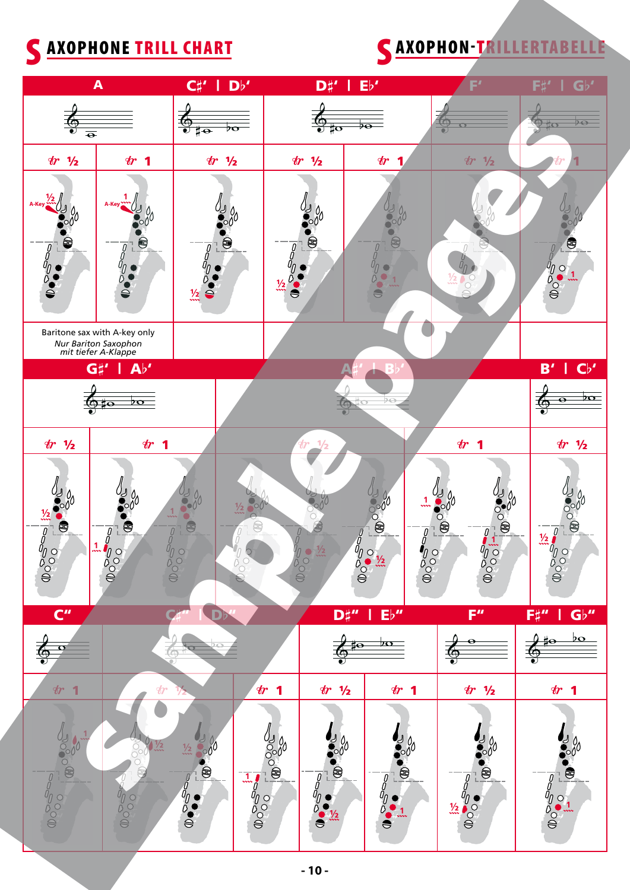# SAXOPHONE TRILL CHART SAXOPHON-TRILLERTABELLE

|                                                                               | $\blacktriangle$                                                            | $D^{\flat'}$<br>$C\sharp'$<br>Г                        |                                             | D#'                                                                                                                                                    | Eb'                                                                                                                           | F'                                  | $\mathbf{G}$ <sup>,</sup><br>Fί                     |
|-------------------------------------------------------------------------------|-----------------------------------------------------------------------------|--------------------------------------------------------|---------------------------------------------|--------------------------------------------------------------------------------------------------------------------------------------------------------|-------------------------------------------------------------------------------------------------------------------------------|-------------------------------------|-----------------------------------------------------|
| $\overline{\bullet}$                                                          |                                                                             | $\Theta$<br>$\overline{\mathbf{v}}$<br>$\sharp\bullet$ | ÞΘ<br>‡0<br>$\bullet$                       |                                                                                                                                                        |                                                                                                                               | $\bullet$                           | $\overline{P}$<br>ÏO                                |
| $tr$ $1/2$                                                                    | r <sub>1</sub>                                                              | $tr$ $1/2$                                             |                                             | tr 1/2                                                                                                                                                 | $\bm{\psi}$                                                                                                                   | $\bm{\psi}$<br>$\frac{1}{2}$        |                                                     |
| $\frac{1}{2}$<br>e<br>$\int\limits_0^{\infty}$<br>ŏ<br>ß<br>$\tilde{\bullet}$ | $\bigcirc$<br>$\triangle$                                                   | è<br>$\mathbf{a}$<br>$\frac{1}{2}$                     | $\bullet$                                   | $\circledast$                                                                                                                                          | 電<br>S                                                                                                                        |                                     | Ş<br>Moon<br>$\overline{O}$                         |
|                                                                               | Baritone sax with A-key only<br>Nur Bariton Saxophon<br>mit tiefer A-Klappe |                                                        |                                             |                                                                                                                                                        |                                                                                                                               |                                     |                                                     |
|                                                                               | $\mathbf{A} \flat'$<br>$\mathsf{G}\sharp'$                                  |                                                        |                                             |                                                                                                                                                        |                                                                                                                               |                                     | $\mathbb{C} \flat'$<br>B'                           |
|                                                                               | $\overline{p}$<br>1⊖                                                        |                                                        |                                             |                                                                                                                                                        | $\circ$                                                                                                                       |                                     | $\overline{p}$                                      |
| r <sub>1</sub><br>$\frac{1}{2}$                                               | $\boldsymbol{\psi}$<br>$\mathbf 1$                                          |                                                        |                                             | 1/2<br>$\boldsymbol{\psi}$                                                                                                                             |                                                                                                                               | $\boldsymbol{\psi}$<br>$\mathbf{1}$ | $\boldsymbol{\psi}$<br>$\frac{1}{2}$                |
| ê<br>40000                                                                    | 零<br>$\overline{\mathcal{G}}$                                               | e<br>2000<br>$\circ$                                   | 용                                           | $\frac{1}{2}$                                                                                                                                          | <b>10000</b><br>$\overline{\mathcal{G}}$<br>$\int_{\alpha}^{\tilde{U}_{0}}\frac{\partial V_{2}}{\partial x}$<br>$\frac{1}{2}$ | $\circledast$<br>$\frac{1}{2}$      | $\frac{1}{2}$                                       |
| $C^{\prime\prime}$                                                            |                                                                             | Dr                                                     |                                             | $\mathbf{D}^{\mu \prime \prime}$                                                                                                                       | Eb''                                                                                                                          | F''                                 | $\mathbf{G}$ <sub><math>\flat</math></sub> "<br>F#" |
| $\overline{\Phi}$<br>$\bullet$                                                |                                                                             | ⊖<br>$\mathbf o$<br>$\subset$                          |                                             | $\frac{1}{10}$<br>$\bigcirc$                                                                                                                           | $b$ o                                                                                                                         | 奉                                   | ٥<br>$\frac{1}{4}$<br>$b\mathbf{o}$<br>尊            |
| r <sub>1</sub>                                                                | $\boldsymbol{\psi}$                                                         | 172                                                    | $\bm{\psi}$<br>1                            | $\frac{1}{2}$<br>$\bm{\psi}$                                                                                                                           | r <sub>1</sub>                                                                                                                | tr 1/2                              | $\boldsymbol{\psi}$ 1                               |
| <b>BOOOD</b>                                                                  | $\frac{1}{2}$                                                               | $\frac{1}{2}$                                          | $\frac{1}{\frac{1}{\frac{1}{\frac{1}{0}}}}$ | J 34<br>$\begin{array}{c} -\frac{1}{\theta} & \epsilon \\ \frac{\theta}{\theta} & \epsilon \\ \frac{\theta}{\Theta} & \frac{\theta}{2\pi} \end{array}$ | $\frac{1}{2}$ %<br>S.                                                                                                         | <b>2009</b>                         | $\sum_{n=0}^{\infty}$                               |